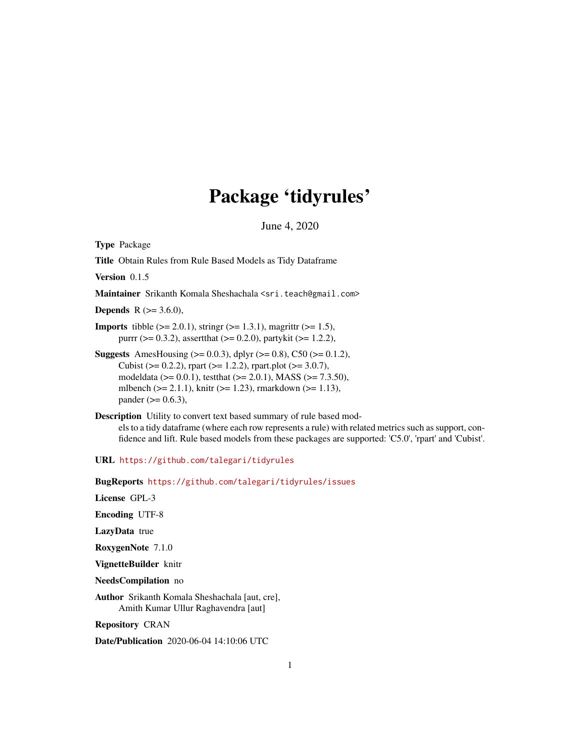# Package 'tidyrules'

June 4, 2020

Type Package

Title Obtain Rules from Rule Based Models as Tidy Dataframe

Version 0.1.5

Maintainer Srikanth Komala Sheshachala <sri.teach@gmail.com>

**Depends** R  $(>= 3.6.0)$ ,

**Imports** tibble  $(>= 2.0.1)$ , string  $(>= 1.3.1)$ , magrittr  $(>= 1.5)$ , purrr ( $> = 0.3.2$ ), assertthat ( $> = 0.2.0$ ), partykit ( $> = 1.2.2$ ),

- **Suggests** AmesHousing ( $> = 0.0.3$ ), dplyr ( $> = 0.8$ ), C50 ( $> = 0.1.2$ ), Cubist ( $> = 0.2.2$ ), rpart ( $>= 1.2.2$ ), rpart.plot ( $>= 3.0.7$ ), modeldata ( $> = 0.0.1$ ), testthat ( $> = 2.0.1$ ), MASS ( $> = 7.3.50$ ), mlbench ( $>= 2.1.1$ ), knitr ( $>= 1.23$ ), rmarkdown ( $>= 1.13$ ), pander ( $> = 0.6.3$ ),
- Description Utility to convert text based summary of rule based models to a tidy dataframe (where each row represents a rule) with related metrics such as support, confidence and lift. Rule based models from these packages are supported: 'C5.0', 'rpart' and 'Cubist'.

URL <https://github.com/talegari/tidyrules>

BugReports <https://github.com/talegari/tidyrules/issues>

License GPL-3

Encoding UTF-8

LazyData true

RoxygenNote 7.1.0

VignetteBuilder knitr

NeedsCompilation no

Author Srikanth Komala Sheshachala [aut, cre], Amith Kumar Ullur Raghavendra [aut]

Repository CRAN

Date/Publication 2020-06-04 14:10:06 UTC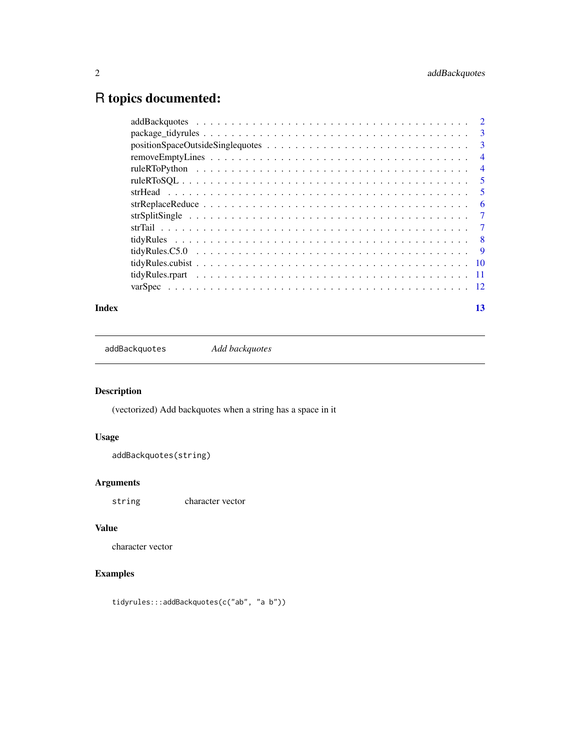# <span id="page-1-0"></span>R topics documented:

| $package\_tidyrules \ldots \ldots \ldots \ldots \ldots \ldots \ldots \ldots \ldots \ldots \ldots \ldots$ | -3             |
|----------------------------------------------------------------------------------------------------------|----------------|
|                                                                                                          | -3             |
|                                                                                                          | $\overline{4}$ |
|                                                                                                          | $\overline{4}$ |
|                                                                                                          | - 5            |
|                                                                                                          | 5              |
|                                                                                                          | 6              |
|                                                                                                          | -7             |
|                                                                                                          | $\overline{7}$ |
|                                                                                                          | - 8            |
|                                                                                                          | - 9            |
|                                                                                                          |                |
|                                                                                                          |                |
|                                                                                                          |                |
|                                                                                                          |                |

#### **Index** [13](#page-12-0)

addBackquotes *Add backquotes*

# Description

(vectorized) Add backquotes when a string has a space in it

# Usage

```
addBackquotes(string)
```
# Arguments

string character vector

# Value

character vector

# Examples

tidyrules:::addBackquotes(c("ab", "a b"))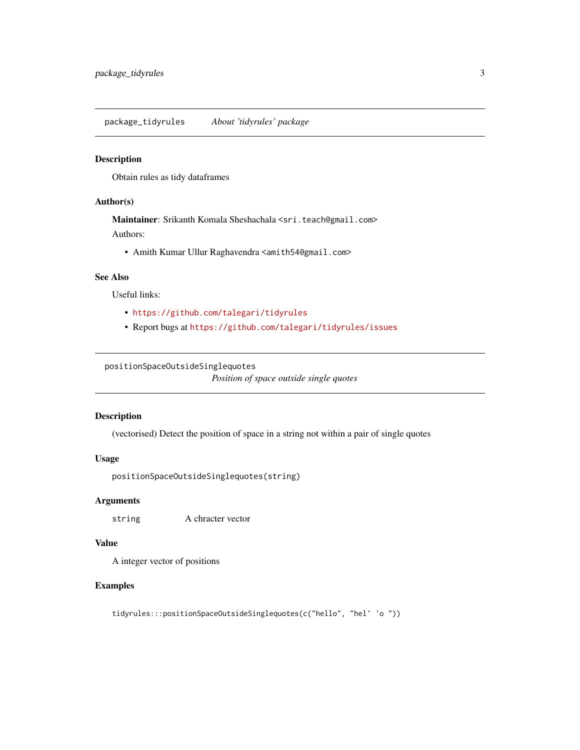<span id="page-2-0"></span>package\_tidyrules *About 'tidyrules' package*

#### Description

Obtain rules as tidy dataframes

#### Author(s)

Maintainer: Srikanth Komala Sheshachala <sri.teach@gmail.com> Authors:

• Amith Kumar Ullur Raghavendra <amith54@gmail.com>

# See Also

Useful links:

- <https://github.com/talegari/tidyrules>
- Report bugs at <https://github.com/talegari/tidyrules/issues>

#### positionSpaceOutsideSinglequotes

*Position of space outside single quotes*

#### Description

(vectorised) Detect the position of space in a string not within a pair of single quotes

#### Usage

```
positionSpaceOutsideSinglequotes(string)
```
#### Arguments

string A chracter vector

#### Value

A integer vector of positions

# Examples

tidyrules:::positionSpaceOutsideSinglequotes(c("hello", "hel' 'o "))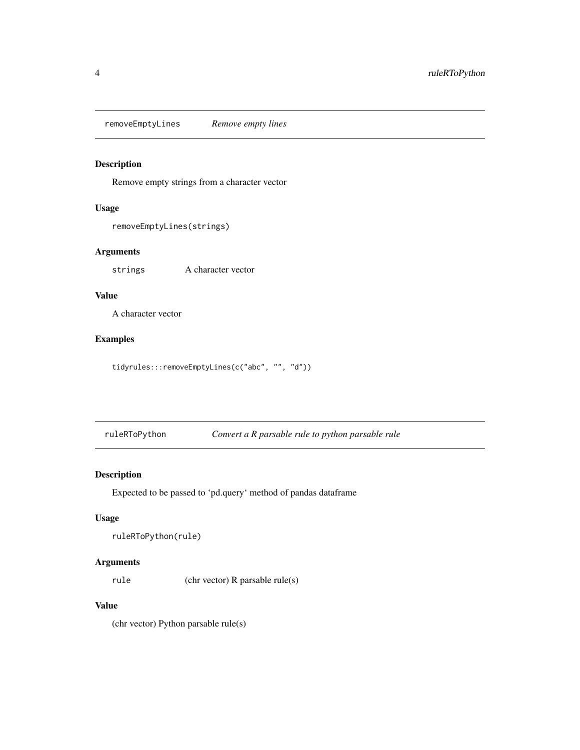<span id="page-3-0"></span>removeEmptyLines *Remove empty lines*

# Description

Remove empty strings from a character vector

# Usage

```
removeEmptyLines(strings)
```
#### Arguments

strings A character vector

#### Value

A character vector

# Examples

tidyrules:::removeEmptyLines(c("abc", "", "d"))

ruleRToPython *Convert a R parsable rule to python parsable rule*

# Description

Expected to be passed to 'pd.query' method of pandas dataframe

#### Usage

```
ruleRToPython(rule)
```
# Arguments

rule (chr vector) R parsable rule(s)

# Value

(chr vector) Python parsable rule(s)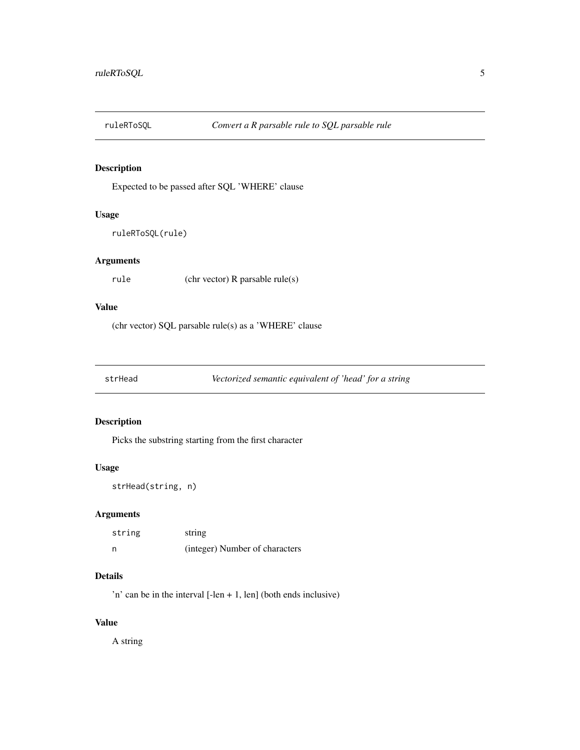<span id="page-4-0"></span>

#### Description

Expected to be passed after SQL 'WHERE' clause

### Usage

ruleRToSQL(rule)

# Arguments

rule (chr vector) R parsable rule(s)

# Value

(chr vector) SQL parsable rule(s) as a 'WHERE' clause

strHead *Vectorized semantic equivalent of 'head' for a string*

# Description

Picks the substring starting from the first character

# Usage

```
strHead(string, n)
```
#### Arguments

| string | string                         |
|--------|--------------------------------|
| n      | (integer) Number of characters |

# Details

'n' can be in the interval  $[-len + 1, len]$  (both ends inclusive)

#### Value

A string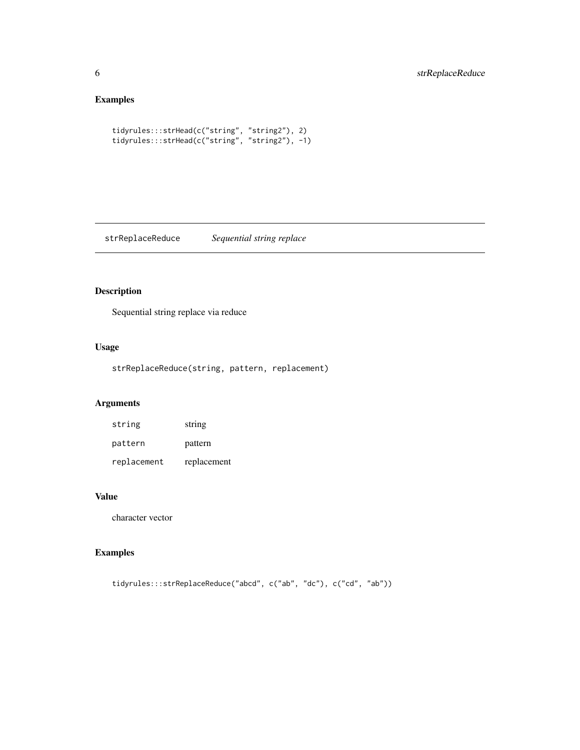# Examples

```
tidyrules:::strHead(c("string", "string2"), 2)
tidyrules:::strHead(c("string", "string2"), -1)
```
strReplaceReduce *Sequential string replace*

# Description

Sequential string replace via reduce

# Usage

strReplaceReduce(string, pattern, replacement)

# Arguments

| string      | string      |
|-------------|-------------|
| pattern     | pattern     |
| replacement | replacement |

## Value

character vector

# Examples

tidyrules:::strReplaceReduce("abcd", c("ab", "dc"), c("cd", "ab"))

<span id="page-5-0"></span>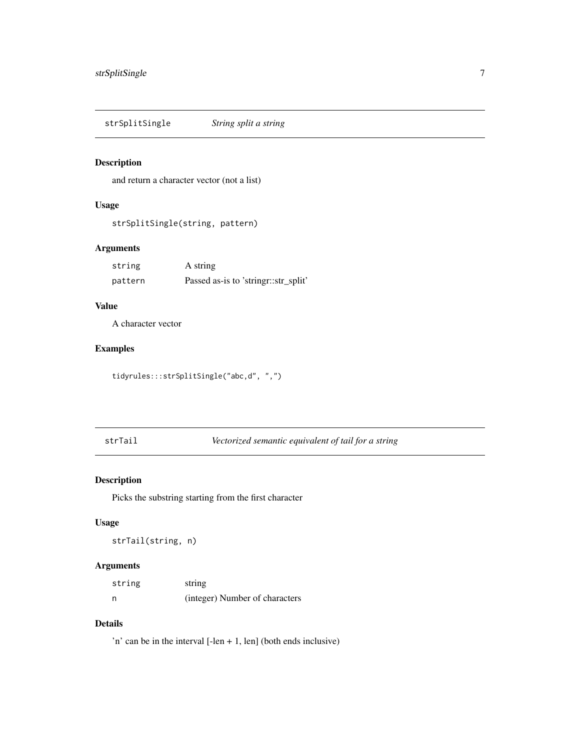<span id="page-6-0"></span>strSplitSingle *String split a string*

# Description

and return a character vector (not a list)

# Usage

```
strSplitSingle(string, pattern)
```
# Arguments

| string  | A string                             |
|---------|--------------------------------------|
| pattern | Passed as-is to 'stringr::str_split' |

#### Value

A character vector

# Examples

tidyrules:::strSplitSingle("abc,d", ",")

strTail *Vectorized semantic equivalent of tail for a string*

# Description

Picks the substring starting from the first character

# Usage

strTail(string, n)

# Arguments

| string | string                         |
|--------|--------------------------------|
| n      | (integer) Number of characters |

#### Details

'n' can be in the interval  $[-len + 1, len]$  (both ends inclusive)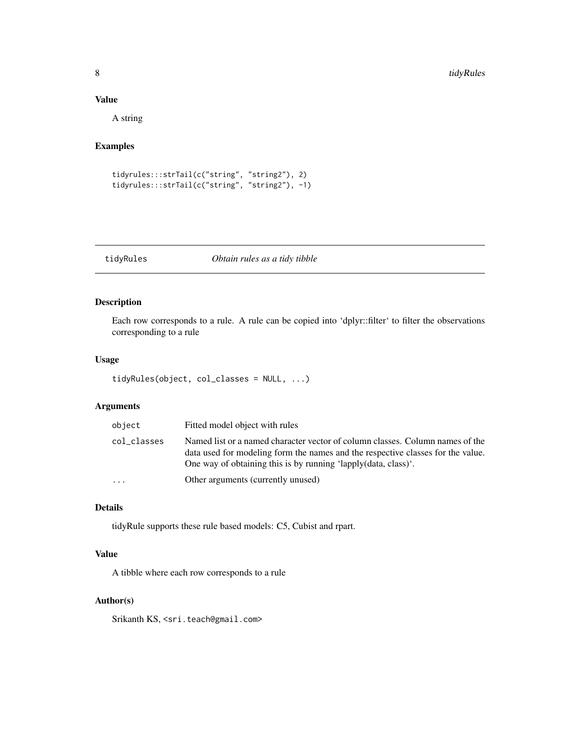#### Value

A string

# Examples

```
tidyrules:::strTail(c("string", "string2"), 2)
tidyrules:::strTail(c("string", "string2"), -1)
```
#### tidyRules *Obtain rules as a tidy tibble*

# Description

Each row corresponds to a rule. A rule can be copied into 'dplyr::filter' to filter the observations corresponding to a rule

#### Usage

```
tidyRules(object, col_classes = NULL, ...)
```
# Arguments

| object                  | Fitted model object with rules                                                                                                                                                                                                     |
|-------------------------|------------------------------------------------------------------------------------------------------------------------------------------------------------------------------------------------------------------------------------|
| col_classes             | Named list or a named character vector of column classes. Column names of the<br>data used for modeling form the names and the respective classes for the value.<br>One way of obtaining this is by running 'lapply(data, class)'. |
| $\cdot$ $\cdot$ $\cdot$ | Other arguments (currently unused)                                                                                                                                                                                                 |
|                         |                                                                                                                                                                                                                                    |

# Details

tidyRule supports these rule based models: C5, Cubist and rpart.

#### Value

A tibble where each row corresponds to a rule

#### Author(s)

Srikanth KS, <sri.teach@gmail.com>

<span id="page-7-0"></span>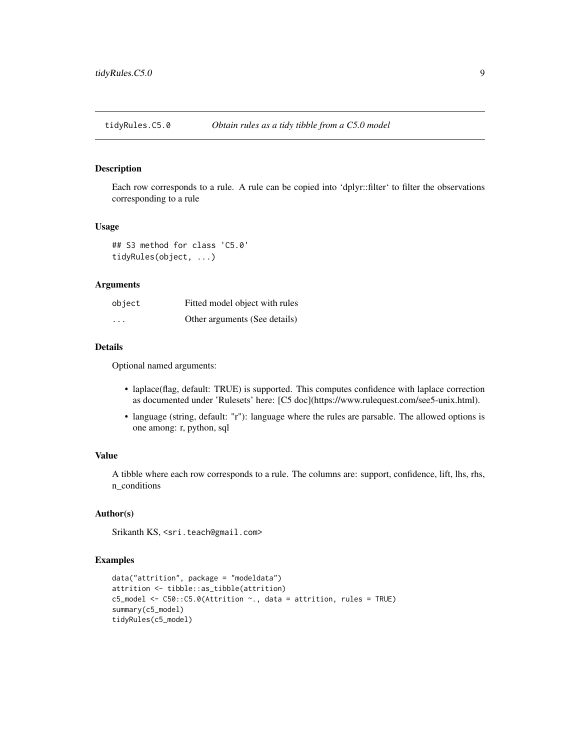<span id="page-8-0"></span>tidyRules.C5.0 *Obtain rules as a tidy tibble from a C5.0 model*

#### Description

Each row corresponds to a rule. A rule can be copied into 'dplyr::filter' to filter the observations corresponding to a rule

#### Usage

```
## S3 method for class 'C5.0'
tidyRules(object, ...)
```
#### Arguments

| object   | Fitted model object with rules |
|----------|--------------------------------|
| $\cdots$ | Other arguments (See details)  |

#### Details

Optional named arguments:

- laplace(flag, default: TRUE) is supported. This computes confidence with laplace correction as documented under 'Rulesets' here: [C5 doc](https://www.rulequest.com/see5-unix.html).
- language (string, default: "r"): language where the rules are parsable. The allowed options is one among: r, python, sql

# Value

A tibble where each row corresponds to a rule. The columns are: support, confidence, lift, lhs, rhs, n\_conditions

#### Author(s)

Srikanth KS, <sri.teach@gmail.com>

```
data("attrition", package = "modeldata")
attrition <- tibble::as_tibble(attrition)
c5_model <- C50::C5.0(Attrition ~., data = attrition, rules = TRUE)
summary(c5_model)
tidyRules(c5_model)
```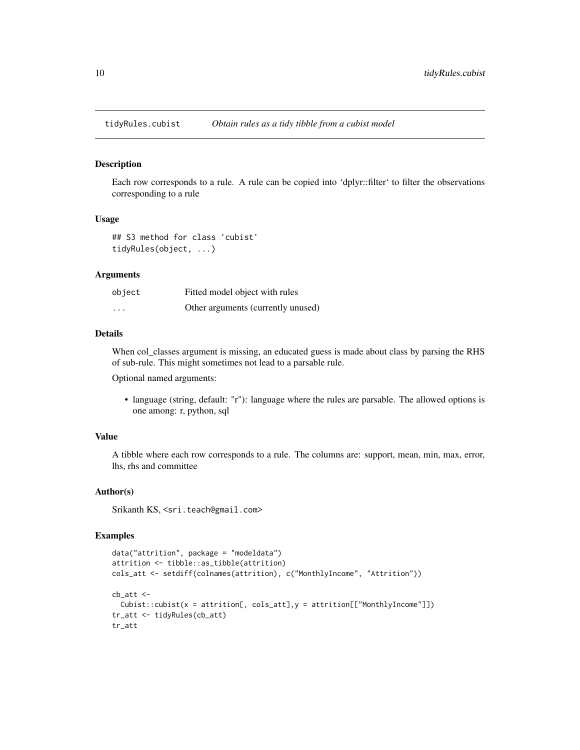<span id="page-9-0"></span>

#### Description

Each row corresponds to a rule. A rule can be copied into 'dplyr::filter' to filter the observations corresponding to a rule

#### Usage

```
## S3 method for class 'cubist'
tidyRules(object, ...)
```
#### Arguments

| object   | Fitted model object with rules     |
|----------|------------------------------------|
| $\cdots$ | Other arguments (currently unused) |

#### Details

When col\_classes argument is missing, an educated guess is made about class by parsing the RHS of sub-rule. This might sometimes not lead to a parsable rule.

Optional named arguments:

• language (string, default: "r"): language where the rules are parsable. The allowed options is one among: r, python, sql

#### Value

A tibble where each row corresponds to a rule. The columns are: support, mean, min, max, error, lhs, rhs and committee

#### Author(s)

Srikanth KS, <sri.teach@gmail.com>

```
data("attrition", package = "modeldata")
attrition <- tibble::as_tibble(attrition)
cols_att <- setdiff(colnames(attrition), c("MonthlyIncome", "Attrition"))
cb_att <-
  Cubic::cubic(x = attrition[, cols_att], y = attrition[["MonthlyIncome"]])tr_att <- tidyRules(cb_att)
tr_att
```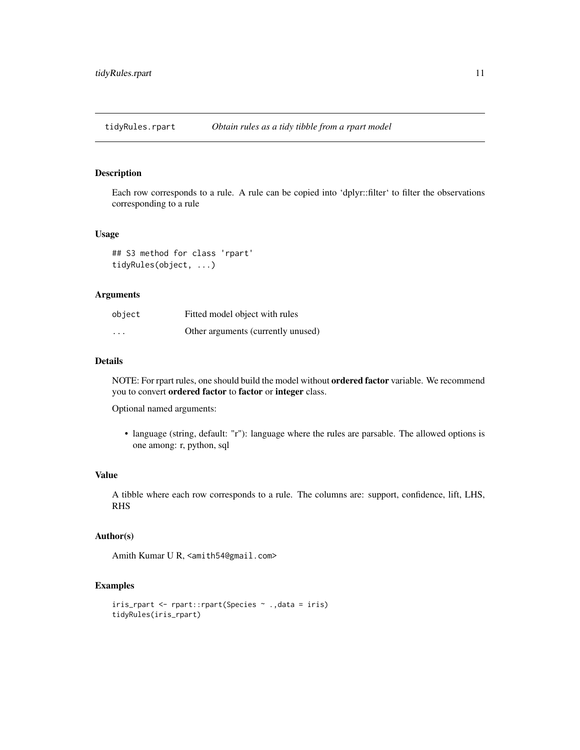<span id="page-10-0"></span>tidyRules.rpart *Obtain rules as a tidy tibble from a rpart model*

#### Description

Each row corresponds to a rule. A rule can be copied into 'dplyr::filter' to filter the observations corresponding to a rule

#### Usage

```
## S3 method for class 'rpart'
tidyRules(object, ...)
```
#### Arguments

| object                  | Fitted model object with rules     |
|-------------------------|------------------------------------|
| $\cdot$ $\cdot$ $\cdot$ | Other arguments (currently unused) |

#### Details

NOTE: For rpart rules, one should build the model without ordered factor variable. We recommend you to convert ordered factor to factor or integer class.

Optional named arguments:

• language (string, default: "r"): language where the rules are parsable. The allowed options is one among: r, python, sql

#### Value

A tibble where each row corresponds to a rule. The columns are: support, confidence, lift, LHS, RHS

# Author(s)

Amith Kumar U R, <amith54@gmail.com>

```
iris_rpart <- rpart::rpart(Species ~ .,data = iris)
tidyRules(iris_rpart)
```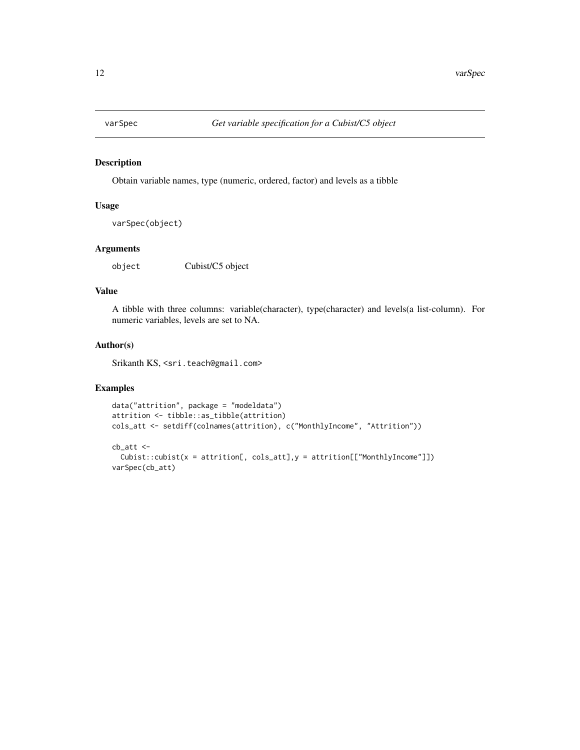<span id="page-11-0"></span>

# Description

Obtain variable names, type (numeric, ordered, factor) and levels as a tibble

#### Usage

```
varSpec(object)
```
# Arguments

object Cubist/C5 object

#### Value

A tibble with three columns: variable(character), type(character) and levels(a list-column). For numeric variables, levels are set to NA.

#### Author(s)

Srikanth KS, <sri.teach@gmail.com>

```
data("attrition", package = "modeldata")
attrition <- tibble::as_tibble(attrition)
cols_att <- setdiff(colnames(attrition), c("MonthlyIncome", "Attrition"))
```

```
cb_att <-
 Cubic::cubist(x = attrition[, cols_att], y = attrition[["MonthlyIncome"]])varSpec(cb_att)
```